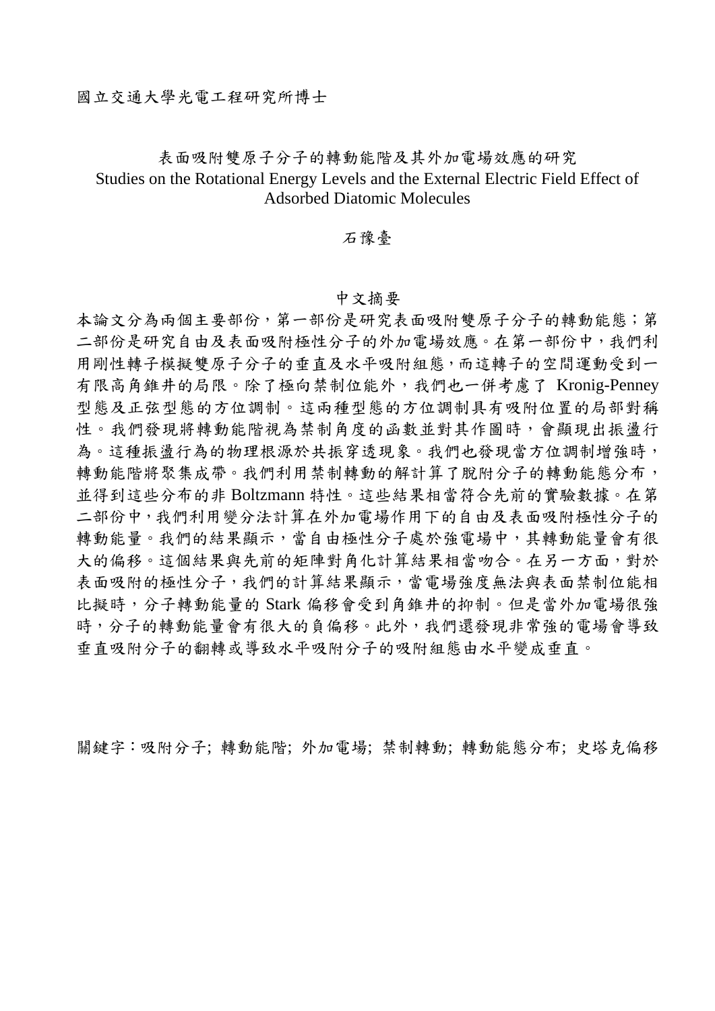## 表面吸附雙原子分子的轉動能階及其外加電場效應的研究 Studies on the Rotational Energy Levels and the External Electric Field Effect of Adsorbed Diatomic Molecules

## 石豫臺

## 中文摘要

本論文分為兩個主要部份,第一部份是研究表面吸附雙原子分子的轉動能態;第 二部份是研究自由及表面吸附極性分子的外加電場效應。在第一部份中,我們利 用剛性轉子模擬雙原子分子的垂直及水平吸附組態,而這轉子的空間運動受到一 有限高角錐井的局限。除了極向禁制位能外,我們也一併考慮了 Kronig-Penney 型態及正弦型態的方位調制。這兩種型態的方位調制具有吸附位置的局部對稱 性。我們發現將轉動能階視為禁制角度的函數並對其作圖時,會顯現出振盪行 為。這種振盪行為的物理根源於共振穿透現象。我們也發現當方位調制增強時, 轉動能階將聚集成帶。我們利用禁制轉動的解計算了脫附分子的轉動能態分布, 並得到這些分布的非 Boltzmann 特性。這些結果相當符合先前的實驗數據。在第 二部份中,我們利用變分法計算在外加電場作用下的自由及表面吸附極性分子的 轉動能量。我們的結果顯示,當自由極性分子處於強電場中,其轉動能量會有很 大的偏移。這個結果與先前的矩陣對角化計算結果相當吻合。在另一方面,對於 表面吸附的極性分子,我們的計算結果顯示,當電場強度無法與表面禁制位能相 比擬時,分子轉動能量的 Stark 偏移會受到角錐井的抑制。但是當外加電場很強 時,分子的轉動能量會有很大的負偏移。此外,我們還發現非常強的電場會導致 垂直吸附分子的翻轉或導致水平吸附分子的吸附組態由水平變成垂直。

關鍵字:吸附分子; 轉動能階; 外加電場; 禁制轉動; 轉動能態分布; 史塔克偏移